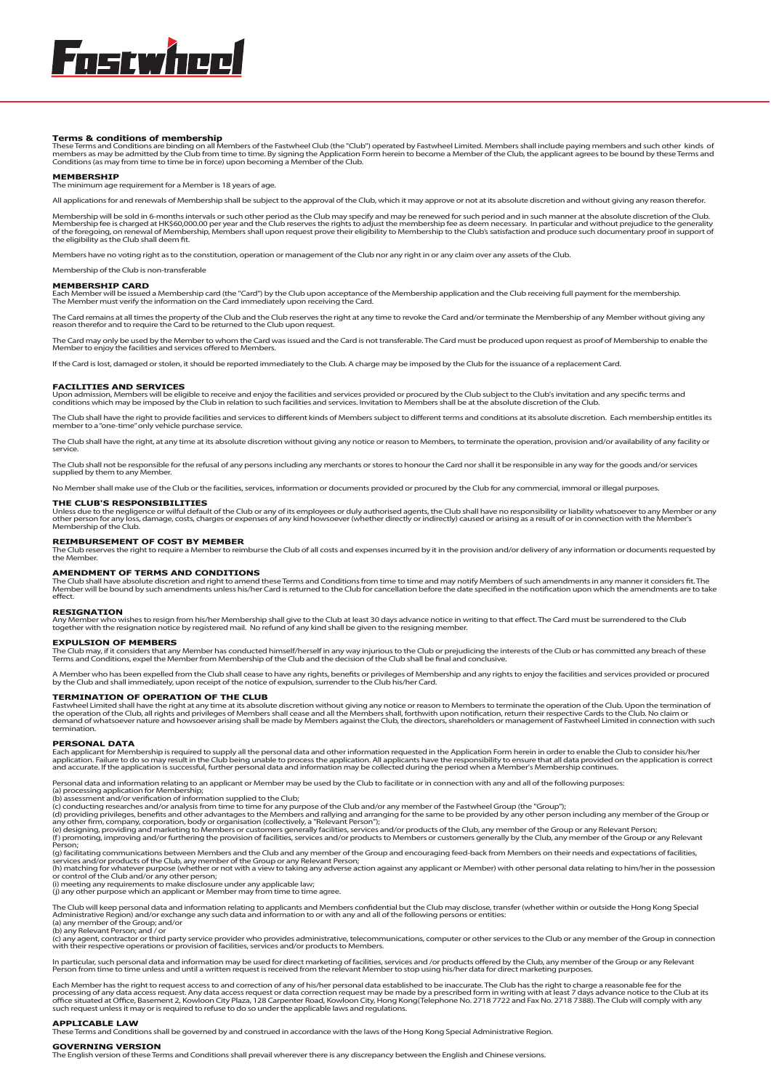**Terms & conditions of membership**<br>These Terms and Conditions are binding on all Members of the Fastwheel Club (the "Club") operated by Fastwheel Limited. Members shall include paying members and such other kinds of<br>member

#### **MEMBERSHIP**

The main minimum and minimum age requirement for a Member is 18 years of age.

All applications for and renewals of Membership shall be subject to the approval of the Club, which it may approve or not at its absolute discretion and without giving any reason therefor.

Membership will be sold in 6-months intervals or such other period as the Club may specify and may be renewed for such period and in such manner at the absolute discretion of the Club.<br>Membership fee is charged at HK\$60,00

Members have no voting right as to the constitution, operation or management of the Club nor any right in or any claim over any assets of the Club.

Membership of the Club is non-transferable

**MEMBERSHIP CARD**<br>Each Member will be issued a Membership card (the "Card") by the Club upon acceptance of the Membership application and the Club receiving full payment for the membership.<br>The Member must verify the infor

The Card remains at all times the property of the Club and the Club reserves the right at any time to revoke the Card and/or terminate the Membership of any Member without giving any<br>reason therefor and to require the Card

The Card may only be used by the Member to whom the Card was issued and the Card is not transferable. The Card must be produced upon request as proof of Membership to enable the<br>Member to enjoy the facilities and services

If the Card is lost, damaged or stolen, it should be reported immediately to the Club. A charge may be imposed by the Club for the issuance of a replacement Card.

#### **FACILITIES AND SERVICES**

Upon admission, Members will be eligible to receive and enjoy the facilities and services provided or procured by the Club subject to the Club's invitation and any specific terms and<br>conditions which may be imposed by the

The Club shall have the right to provide facilities and services to different kinds of Members subject to different terms and conditions at its absolute discretion. Each membership entitles its<br>member to a "one-time" only

The Club shall have the right, at any time at its absolute discretion without giving any notice or reason to Members, to terminate the operation, provision and/or availability of any facility or service.

The Club shall not be responsible for the refusal of any persons including any merchants or stores to honour the Card nor shall it be responsible in any way for the goods and/or services supplied by them to any Member.

No Member shall make use of the Club or the facilities, services, information or documents provided or procured by the Club for any commercial, immoral or illegal purposes.

**THE CLUB'S RESPONSIBILITIES**<br>Unless due to the negligence or wilful default of the Club or any of its employees or duly authorised agents, the Club shall have no responsibility or liability whatsoever to any Member or any

## **REIMBURSEMENT OF COST BY MEMBER**

The Club reserves the right to require a Member to reimburse the Club of all costs and expenses incurred by it in the provision and/or delivery of any information or documents requested by the Member.

**AMENDMENT OF TERMS AND CONDITIONS**<br>The Club shall have absolute discretion and right to amend these Terms and Conditions from time to time and may notify Members of such amendments in any manner it considers fit. The<br>Memb

#### **RESIGNATION**

Any Member who wishes to resign from his/her Membership shall give to the Club at least 30 days advance notice in writing to that effect. The Card must be surrendered to the Club<br>together with the resignation notice by reg

### **EXPULSION OF MEMBERS**

The Club may, if it considers that any Member has conducted himself/herself in any way injurious to the Club or prejudicing the interests of the Club or has committed any breach of these<br>Terms and Conditions, expel the Mem

A Member who has been expelled from the Club shall cease to have any rights, benefits or privileges of Membership and any rights to enjoy the facilities and services provided or procured<br>by the Club and shall immediately,

## **TERMINATION OF OPERATION OF THE CLUB**

Fastwheel Limited shall have the right at any time at its absolute discretion without giving any notice or reason to Members to terminate the operation of the Club. Upon the termination of<br>the operation of the Club, all ri termination.

#### **PERSONAL DATA**

Each applicant for Membership is required to supply all the personal data and other information requested in the Application Form herein in order to enable the Club to consider his/her<br>application. Failure to do so may res

Personal data and information relating to an applicant or Member may be used by the Club to facilitate or in connection with any and all of the following purposes:<br>(a) processing application for Membership;<br>(b) assessment

(g) facilitating communications between Members and the Club and any member of the Group and encouraging feed-back from Members on their needs and expectations of facilities,<br>services and/or products of the Club, any membe

The Club will keep personal data and information relating to applicants and Members confidential but the Club may disclose, transfer (whether within or outside the Hong Kong Special<br>Administrative Region) and/or exchange a

(c) any agent, contractor or third party service provider who provides administrative, telecommunications, computer or other services to the Club or any member of the Group in connection<br>with their respective operations or

In particular, such personal data and information may be used for direct marketing of facilities, services and /or products offered by the Club, any member of the Group or any Relevant<br>Person from time to time unless and u

Each Member has the right to request access to and correction of any of his/her personal data established to be inaccurate. The Club has the right to charge a reasonable fee for the processing of any data access request. Any data access request or data correction request may be made by a prescribed form in writing with at least 7 days advance notice to the Club at its<br>office situated at Office, Baseme

## **APPLICABLE LAW**

Terms and Conditions shall be governed by and construed in accordance with the laws of the Hong Kong Special Administrative Region.

## **GOVERNING VERSION**

The English version of these Terms and Conditions shall prevail wherever there is any discrepancy between the English and Chinese versions.